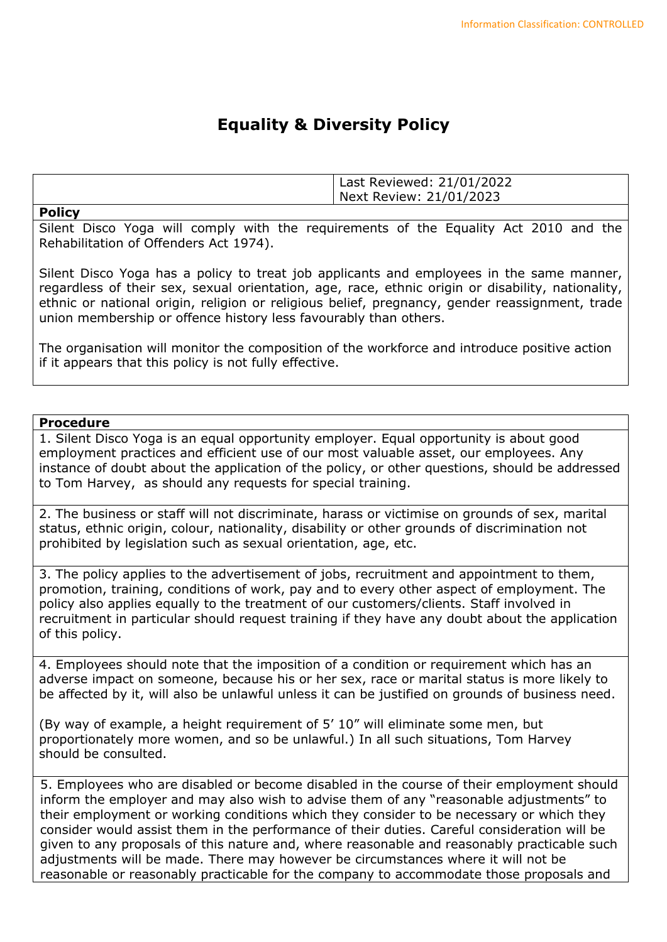## **Equality & Diversity Policy**

|               | Last Reviewed: 21/01/2022<br>Next Review: 21/01/2023 |
|---------------|------------------------------------------------------|
| <b>Policy</b> |                                                      |

Silent Disco Yoga will comply with the requirements of the Equality Act 2010 and the Rehabilitation of Offenders Act 1974).

Silent Disco Yoga has a policy to treat job applicants and employees in the same manner, regardless of their sex, sexual orientation, age, race, ethnic origin or disability, nationality, ethnic or national origin, religion or religious belief, pregnancy, gender reassignment, trade union membership or offence history less favourably than others.

The organisation will monitor the composition of the workforce and introduce positive action if it appears that this policy is not fully effective.

## **Procedure**

1. Silent Disco Yoga is an equal opportunity employer. Equal opportunity is about good employment practices and efficient use of our most valuable asset, our employees. Any instance of doubt about the application of the policy, or other questions, should be addressed to Tom Harvey, as should any requests for special training.

2. The business or staff will not discriminate, harass or victimise on grounds of sex, marital status, ethnic origin, colour, nationality, disability or other grounds of discrimination not prohibited by legislation such as sexual orientation, age, etc.

3. The policy applies to the advertisement of jobs, recruitment and appointment to them, promotion, training, conditions of work, pay and to every other aspect of employment. The policy also applies equally to the treatment of our customers/clients. Staff involved in recruitment in particular should request training if they have any doubt about the application of this policy.

4. Employees should note that the imposition of a condition or requirement which has an adverse impact on someone, because his or her sex, race or marital status is more likely to be affected by it, will also be unlawful unless it can be justified on grounds of business need.

(By way of example, a height requirement of 5' 10" will eliminate some men, but proportionately more women, and so be unlawful.) In all such situations, Tom Harvey should be consulted.

5. Employees who are disabled or become disabled in the course of their employment should inform the employer and may also wish to advise them of any "reasonable adjustments" to their employment or working conditions which they consider to be necessary or which they consider would assist them in the performance of their duties. Careful consideration will be given to any proposals of this nature and, where reasonable and reasonably practicable such adjustments will be made. There may however be circumstances where it will not be reasonable or reasonably practicable for the company to accommodate those proposals and